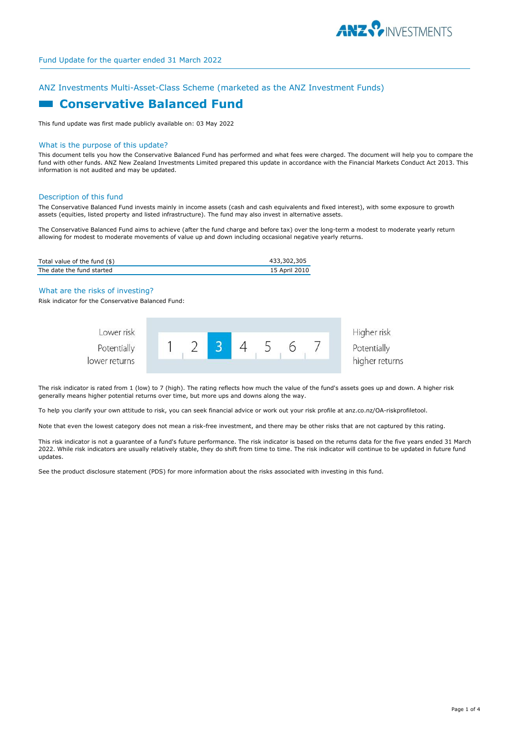

# ANZ Investments Multi-Asset-Class Scheme (marketed as the ANZ Investment Funds)

# **E** Conservative Balanced Fund

This fund update was first made publicly available on: 03 May 2022

# What is the purpose of this update?

This document tells you how the Conservative Balanced Fund has performed and what fees were charged. The document will help you to compare the fund with other funds. ANZ New Zealand Investments Limited prepared this update in accordance with the Financial Markets Conduct Act 2013. This information is not audited and may be updated.

#### Description of this fund

The Conservative Balanced Fund invests mainly in income assets (cash and cash equivalents and fixed interest), with some exposure to growth assets (equities, listed property and listed infrastructure). The fund may also invest in alternative assets.

The Conservative Balanced Fund aims to achieve (after the fund charge and before tax) over the long-term a modest to moderate yearly return allowing for modest to moderate movements of value up and down including occasional negative yearly returns.

| Total value of the fund (\$) | 433,302,305   |
|------------------------------|---------------|
| The date the fund started    | 15 April 2010 |

#### What are the risks of investing?

Risk indicator for the Conservative Balanced Fund:



The risk indicator is rated from 1 (low) to 7 (high). The rating reflects how much the value of the fund's assets goes up and down. A higher risk generally means higher potential returns over time, but more ups and downs along the way.

To help you clarify your own attitude to risk, you can seek financial advice or work out your risk profile at anz.co.nz/OA-riskprofiletool.

Note that even the lowest category does not mean a risk-free investment, and there may be other risks that are not captured by this rating.

This risk indicator is not a guarantee of a fund's future performance. The risk indicator is based on the returns data for the five years ended 31 March 2022. While risk indicators are usually relatively stable, they do shift from time to time. The risk indicator will continue to be updated in future fund updates.

See the product disclosure statement (PDS) for more information about the risks associated with investing in this fund.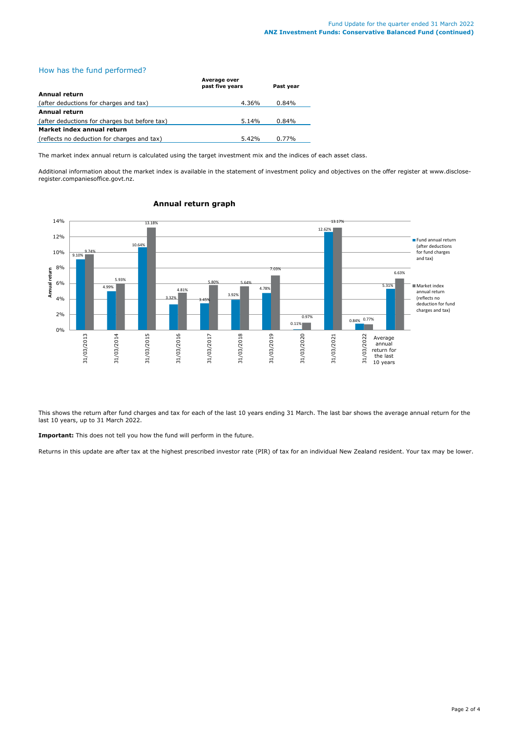# How has the fund performed?

|                                               | Average over<br>past five years | Past vear |  |  |
|-----------------------------------------------|---------------------------------|-----------|--|--|
| Annual return                                 |                                 |           |  |  |
| (after deductions for charges and tax)        | 4.36%                           | 0.84%     |  |  |
| Annual return                                 |                                 |           |  |  |
| (after deductions for charges but before tax) | 5.14%                           | 0.84%     |  |  |
| Market index annual return                    |                                 |           |  |  |
| (reflects no deduction for charges and tax)   | $5.42\%$                        | $0.77\%$  |  |  |

The market index annual return is calculated using the target investment mix and the indices of each asset class.

Additional information about the market index is available in the statement of investment policy and objectives on the offer register at www.discloseregister.companiesoffice.govt.nz.



# **Annual return graph**

This shows the return after fund charges and tax for each of the last 10 years ending 31 March. The last bar shows the average annual return for the last 10 years, up to 31 March 2022.

**Important:** This does not tell you how the fund will perform in the future.

Returns in this update are after tax at the highest prescribed investor rate (PIR) of tax for an individual New Zealand resident. Your tax may be lower.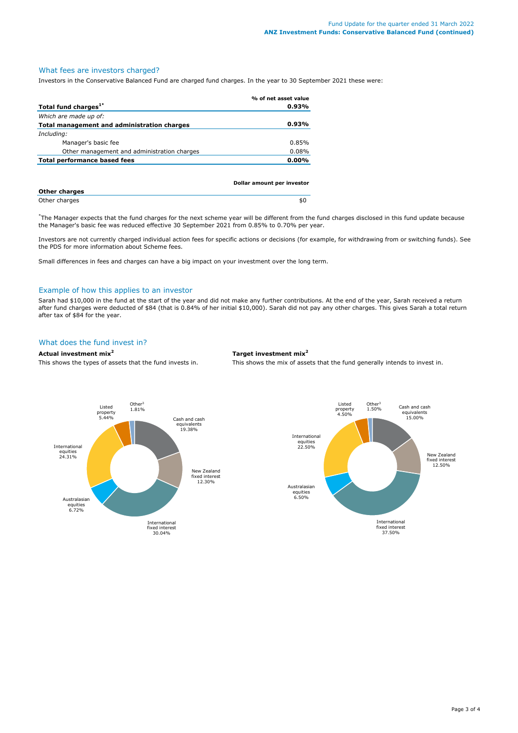# What fees are investors charged?

Investors in the Conservative Balanced Fund are charged fund charges. In the year to 30 September 2021 these were:

|                                             | % of net asset value       |
|---------------------------------------------|----------------------------|
| Total fund charges <sup>1*</sup>            | $0.93\%$                   |
| Which are made up of:                       |                            |
| Total management and administration charges | $0.93\%$                   |
| Including:                                  |                            |
| Manager's basic fee                         | 0.85%                      |
| Other management and administration charges | 0.08%                      |
| Total performance based fees                | $0.00\%$                   |
|                                             |                            |
|                                             |                            |
|                                             | Dollar amount per investor |

| <b>Other charges</b> |     |
|----------------------|-----|
| Other charges        | SL. |

\* The Manager expects that the fund charges for the next scheme year will be different from the fund charges disclosed in this fund update because the Manager's basic fee was reduced effective 30 September 2021 from 0.85% to 0.70% per year.

Investors are not currently charged individual action fees for specific actions or decisions (for example, for withdrawing from or switching funds). See the PDS for more information about Scheme fees.

Small differences in fees and charges can have a big impact on your investment over the long term.

### Example of how this applies to an investor

Sarah had \$10,000 in the fund at the start of the year and did not make any further contributions. At the end of the year, Sarah received a return after fund charges were deducted of \$84 (that is 0.84% of her initial \$10,000). Sarah did not pay any other charges. This gives Sarah a total return after tax of \$84 for the year.

# What does the fund invest in?

## **Actual investment mix<sup>2</sup> Target investment mix<sup>2</sup>**

This shows the types of assets that the fund invests in. This shows the mix of assets that the fund generally intends to invest in.